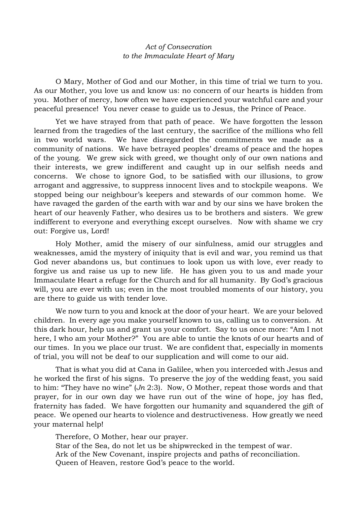## *Act of Consecration to the Immaculate Heart of Mary*

O Mary, Mother of God and our Mother, in this time of trial we turn to you. As our Mother, you love us and know us: no concern of our hearts is hidden from you. Mother of mercy, how often we have experienced your watchful care and your peaceful presence! You never cease to guide us to Jesus, the Prince of Peace.

Yet we have strayed from that path of peace. We have forgotten the lesson learned from the tragedies of the last century, the sacrifice of the millions who fell in two world wars. We have disregarded the commitments we made as a community of nations. We have betrayed peoples' dreams of peace and the hopes of the young. We grew sick with greed, we thought only of our own nations and their interests, we grew indifferent and caught up in our selfish needs and concerns. We chose to ignore God, to be satisfied with our illusions, to grow arrogant and aggressive, to suppress innocent lives and to stockpile weapons. We stopped being our neighbour's keepers and stewards of our common home. We have ravaged the garden of the earth with war and by our sins we have broken the heart of our heavenly Father, who desires us to be brothers and sisters. We grew indifferent to everyone and everything except ourselves. Now with shame we cry out: Forgive us, Lord!

Holy Mother, amid the misery of our sinfulness, amid our struggles and weaknesses, amid the mystery of iniquity that is evil and war, you remind us that God never abandons us, but continues to look upon us with love, ever ready to forgive us and raise us up to new life. He has given you to us and made your Immaculate Heart a refuge for the Church and for all humanity. By God's gracious will, you are ever with us; even in the most troubled moments of our history, you are there to guide us with tender love.

We now turn to you and knock at the door of your heart. We are your beloved children. In every age you make yourself known to us, calling us to conversion. At this dark hour, help us and grant us your comfort. Say to us once more: "Am I not here, I who am your Mother?" You are able to untie the knots of our hearts and of our times. In you we place our trust. We are confident that, especially in moments of trial, you will not be deaf to our supplication and will come to our aid.

That is what you did at Cana in Galilee, when you interceded with Jesus and he worked the first of his signs. To preserve the joy of the wedding feast, you said to him: "They have no wine" (*Jn* 2:3). Now, O Mother, repeat those words and that prayer, for in our own day we have run out of the wine of hope, joy has fled, fraternity has faded. We have forgotten our humanity and squandered the gift of peace. We opened our hearts to violence and destructiveness. How greatly we need your maternal help!

Therefore, O Mother, hear our prayer. Star of the Sea, do not let us be shipwrecked in the tempest of war. Ark of the New Covenant, inspire projects and paths of reconciliation. Queen of Heaven, restore God's peace to the world.